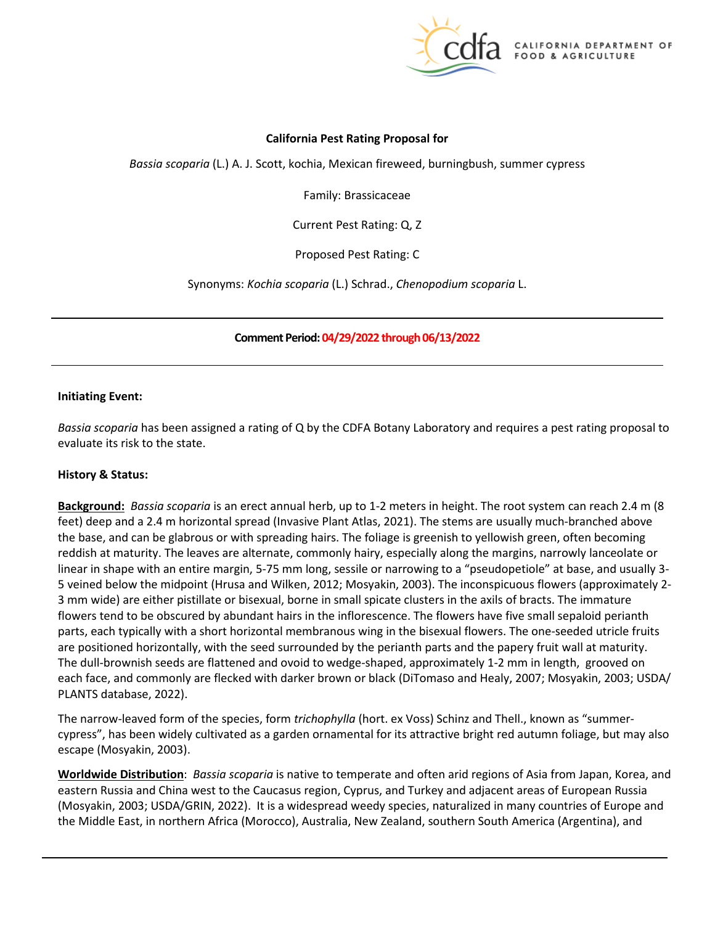

# **California Pest Rating Proposal for**

*Bassia scoparia* (L.) A. J. Scott, kochia, Mexican fireweed, burningbush, summer cypress

Family: Brassicaceae

Current Pest Rating: Q, Z

Proposed Pest Rating: C

Synonyms: *Kochia scoparia* (L.) Schrad., *Chenopodium scoparia* L.

 **Comment Period: 04/29/2022 through 06/13/2022** 

## **Initiating Event:**

 *Bassia scoparia* has been assigned a rating of Q by the CDFA Botany Laboratory and requires a pest rating proposal to evaluate its risk to the state.

## **History & Status:**

 **Background:** *Bassia scoparia* is an erect annual herb, up to 1-2 meters in height. The root system can reach 2.4 m (8 feet) deep and a 2.4 m horizontal spread (Invasive Plant Atlas, 2021). The stems are usually much-branched above the base, and can be glabrous or with spreading hairs. The foliage is greenish to yellowish green, often becoming linear in shape with an entire margin, 5-75 mm long, sessile or narrowing to a "pseudopetiole" at base, and usually 3- flowers tend to be obscured by abundant hairs in the inflorescence. The flowers have five small sepaloid perianth parts, each typically with a short horizontal membranous wing in the bisexual flowers. The one-seeded utricle fruits are positioned horizontally, with the seed surrounded by the perianth parts and the papery fruit wall at maturity.<br>The dull-brownish seeds are flattened and ovoid to wedge-shaped, approximately 1-2 mm in length, grooved on The dull-brownish seeds are flattened and ovoid to wedge-shaped, approximately 1-2 mm in length, grooved on reddish at maturity. The leaves are alternate, commonly hairy, especially along the margins, narrowly lanceolate or 5 veined below the midpoint (Hrusa and Wilken, 2012; Mosyakin, 2003). The inconspicuous flowers (approximately 2- 3 mm wide) are either pistillate or bisexual, borne in small spicate clusters in the axils of bracts. The immature each face, and commonly are flecked with darker brown or black (DiTomaso and Healy, 2007; Mosyakin, 2003; USDA/ PLANTS database, 2022).

 The narrow-leaved form of the species, form *trichophylla* (hort. ex Voss) Schinz and Thell., known as "summercypress", has been widely cultivated as a garden ornamental for its attractive bright red autumn foliage, but may also escape (Mosyakin, 2003).

 (Mosyakin, 2003; USDA/GRIN, 2022). It is a widespread weedy species, naturalized in many countries of Europe and **Worldwide Distribution**: *Bassia scoparia* is native to temperate and often arid regions of Asia from Japan, Korea, and eastern Russia and China west to the Caucasus region, Cyprus, and Turkey and adjacent areas of European Russia the Middle East, in northern Africa (Morocco), Australia, New Zealand, southern South America (Argentina), and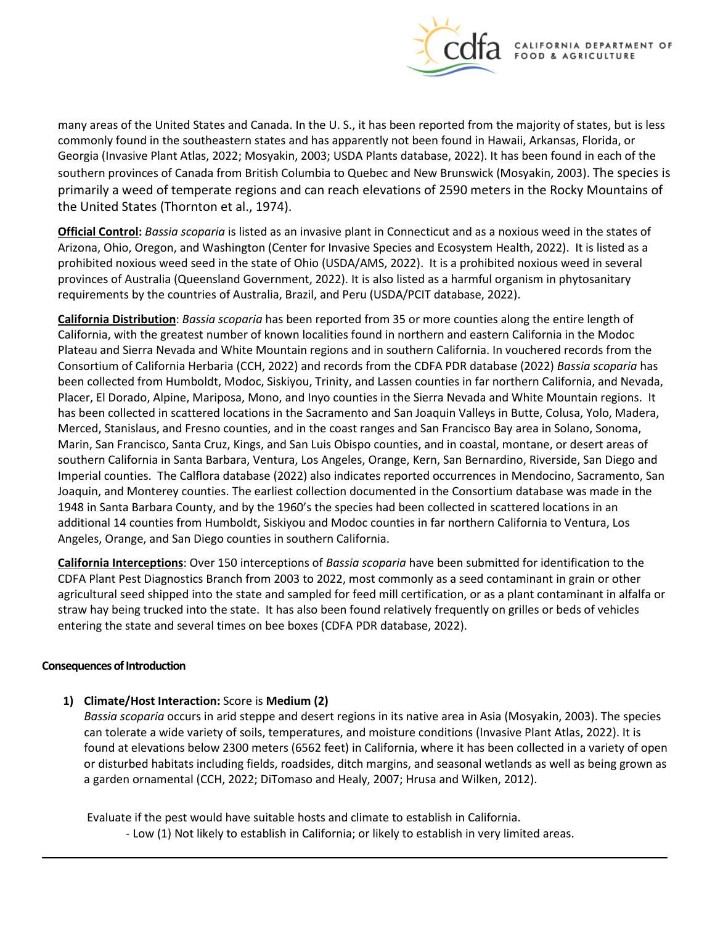

 many areas of the United States and Canada. In the U. S., it has been reported from the majority of states, but is less Georgia (Invasive Plant Atlas, 2022; Mosyakin, 2003; USDA Plants database, 2022). It has been found in each of the primarily a weed of temperate regions and can reach elevations of 2590 meters in the Rocky Mountains of commonly found in the southeastern states and has apparently not been found in Hawaii, Arkansas, Florida, or southern provinces of Canada from British Columbia to Quebec and New Brunswick (Mosyakin, 2003). The species is the United States (Thornton et al., 1974).

 **Official Control:** *Bassia scoparia* is listed as an invasive plant in Connecticut and as a noxious weed in the states of Arizona, Ohio, Oregon, and Washington (Center for Invasive Species and Ecosystem Health, 2022). It is listed as a prohibited noxious weed seed in the state of Ohio (USDA/AMS, 2022). It is a prohibited noxious weed in several provinces of Australia (Queensland Government, 2022). It is also listed as a harmful organism in phytosanitary requirements by the countries of Australia, Brazil, and Peru (USDA/PCIT database, 2022).

 **California Distribution**: *Bassia scoparia* has been reported from 35 or more counties along the entire length of California, with the greatest number of known localities found in northern and eastern California in the Modoc been collected from Humboldt, Modoc, Siskiyou, Trinity, and Lassen counties in far northern California, and Nevada, southern California in Santa Barbara, Ventura, Los Angeles, Orange, Kern, San Bernardino, Riverside, San Diego and Joaquin, and Monterey counties. The earliest collection documented in the Consortium database was made in the 1948 in Santa Barbara County, and by the 1960's the species had been collected in scattered locations in an additional 14 counties from Humboldt, Siskiyou and Modoc counties in far northern California to Ventura, Los Angeles, Orange, and San Diego counties in southern California. Plateau and Sierra Nevada and White Mountain regions and in southern California. In vouchered records from the Consortium of California Herbaria (CCH, 2022) and records from the CDFA PDR database (2022) *Bassia scoparia* has Placer, El Dorado, Alpine, Mariposa, Mono, and Inyo counties in the Sierra Nevada and White Mountain regions. It has been collected in scattered locations in the Sacramento and San Joaquin Valleys in Butte, Colusa, Yolo, Madera, Merced, Stanislaus, and Fresno counties, and in the coast ranges and San Francisco Bay area in Solano, Sonoma, Marin, San Francisco, Santa Cruz, Kings, and San Luis Obispo counties, and in coastal, montane, or desert areas of Imperial counties. The Calflora database (2022) also indicates reported occurrences in Mendocino, Sacramento, San

 **California Interceptions**: Over 150 interceptions of *Bassia scoparia* have been submitted for identification to the CDFA Plant Pest Diagnostics Branch from 2003 to 2022, most commonly as a seed contaminant in grain or other agricultural seed shipped into the state and sampled for feed mill certification, or as a plant contaminant in alfalfa or entering the state and several times on bee boxes (CDFA PDR database, 2022). straw hay being trucked into the state. It has also been found relatively frequently on grilles or beds of vehicles

## **Consequences of Introduction**

# **1) Climate/Host Interaction:** Score is **Medium (2)**

 can tolerate a wide variety of soils, temperatures, and moisture conditions (Invasive Plant Atlas, 2022). It is found at elevations below 2300 meters (6562 feet) in California, where it has been collected in a variety of open *Bassia scoparia* occurs in arid steppe and desert regions in its native area in Asia (Mosyakin, 2003). The species or disturbed habitats including fields, roadsides, ditch margins, and seasonal wetlands as well as being grown as a garden ornamental (CCH, 2022; DiTomaso and Healy, 2007; Hrusa and Wilken, 2012).

Evaluate if the pest would have suitable hosts and climate to establish in California.

- Low (1) Not likely to establish in California; or likely to establish in very limited areas.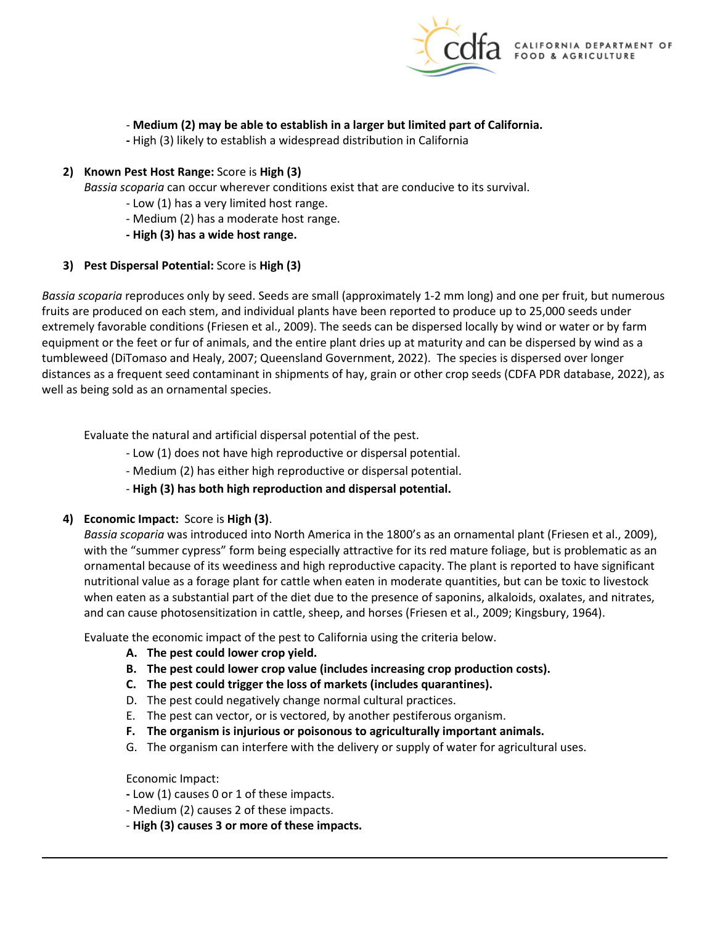

# - **Medium (2) may be able to establish in a larger but limited part of California.**

**-** High (3) likely to establish a widespread distribution in California

## **2) Known Pest Host Range:** Score is **High (3)**

*Bassia scoparia* can occur wherever conditions exist that are conducive to its survival.

- Low (1) has a very limited host range.
- Medium (2) has a moderate host range.
- **- High (3) has a wide host range.**

## **3) Pest Dispersal Potential:** Score is **High (3)**

 *Bassia scoparia* reproduces only by seed. Seeds are small (approximately 1-2 mm long) and one per fruit, but numerous fruits are produced on each stem, and individual plants have been reported to produce up to 25,000 seeds under extremely favorable conditions (Friesen et al., 2009). The seeds can be dispersed locally by wind or water or by farm equipment or the feet or fur of animals, and the entire plant dries up at maturity and can be dispersed by wind as a tumbleweed (DiTomaso and Healy, 2007; Queensland Government, 2022). The species is dispersed over longer distances as a frequent seed contaminant in shipments of hay, grain or other crop seeds (CDFA PDR database, 2022), as well as being sold as an ornamental species.

Evaluate the natural and artificial dispersal potential of the pest.

- Low (1) does not have high reproductive or dispersal potential.

- Medium (2) has either high reproductive or dispersal potential.
- **High (3) has both high reproduction and dispersal potential.**

#### **4) Economic Impact:** Score is **High (3)**.

 *Bassia scoparia* was introduced into North America in the 1800's as an ornamental plant (Friesen et al., 2009), ornamental because of its weediness and high reproductive capacity. The plant is reported to have significant and can cause photosensitization in cattle, sheep, and horses (Friesen et al., 2009; Kingsbury, 1964). with the "summer cypress" form being especially attractive for its red mature foliage, but is problematic as an nutritional value as a forage plant for cattle when eaten in moderate quantities, but can be toxic to livestock when eaten as a substantial part of the diet due to the presence of saponins, alkaloids, oxalates, and nitrates,

Evaluate the economic impact of the pest to California using the criteria below.

- **A. The pest could lower crop yield.**
- **B. The pest could lower crop value (includes increasing crop production costs).**
- **C. The pest could trigger the loss of markets (includes quarantines).**
- D. The pest could negatively change normal cultural practices.
- E. The pest can vector, or is vectored, by another pestiferous organism.
- **F. The organism is injurious or poisonous to agriculturally important animals.**
- G. The organism can interfere with the delivery or supply of water for agricultural uses.

#### Economic Impact:

- **-** Low (1) causes 0 or 1 of these impacts.
- Medium (2) causes 2 of these impacts.
- **High (3) causes 3 or more of these impacts.**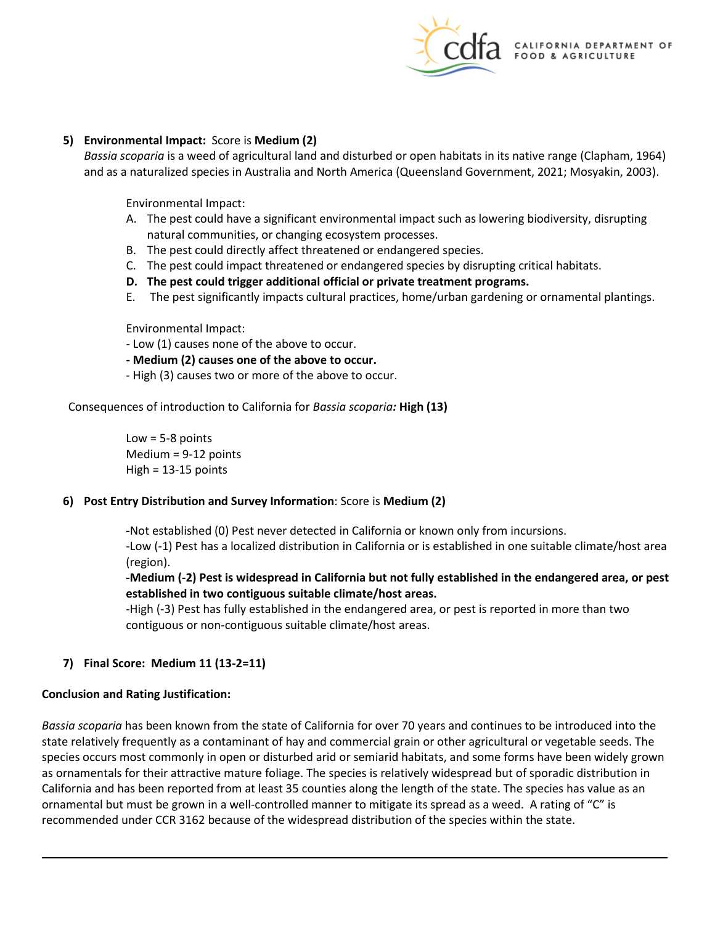

## **5) Environmental Impact:** Score is **Medium (2)**

*Bassia scoparia* is a weed of agricultural land and disturbed or open habitats in its native range (Clapham, 1964) and as a naturalized species in Australia and North America (Queensland Government, 2021; Mosyakin, 2003).

Environmental Impact:

- A. The pest could have a significant environmental impact such as lowering biodiversity, disrupting natural communities, or changing ecosystem processes.
- B. The pest could directly affect threatened or endangered species.
- C. The pest could impact threatened or endangered species by disrupting critical habitats.
- **D. The pest could trigger additional official or private treatment programs.**
- E. The pest significantly impacts cultural practices, home/urban gardening or ornamental plantings.

Environmental Impact:

- Low (1) causes none of the above to occur.
- **- Medium (2) causes one of the above to occur.**
- High (3) causes two or more of the above to occur.

 Consequences of introduction to California for *Bassia scoparia:* **High (13)** 

 $Low = 5-8$  points Medium = 9-12 points  $High = 13-15$  points

## **6) Post Entry Distribution and Survey Information**: Score is **Medium (2)**

**-**Not established (0) Pest never detected in California or known only from incursions.

-Low (-1) Pest has a localized distribution in California or is established in one suitable climate/host area (region).

 **-Medium (-2) Pest is widespread in California but not fully established in the endangered area, or pest established in two contiguous suitable climate/host areas.** 

 -High (-3) Pest has fully established in the endangered area, or pest is reported in more than two contiguous or non-contiguous suitable climate/host areas.

## **7) Final Score: Medium 11 (13-2=11)**

## **Conclusion and Rating Justification:**

 *Bassia scoparia* has been known from the state of California for over 70 years and continues to be introduced into the species occurs most commonly in open or disturbed arid or semiarid habitats, and some forms have been widely grown California and has been reported from at least 35 counties along the length of the state. The species has value as an ornamental but must be grown in a well-controlled manner to mitigate its spread as a weed. A rating of "C" is recommended under CCR 3162 because of the widespread distribution of the species within the state. state relatively frequently as a contaminant of hay and commercial grain or other agricultural or vegetable seeds. The as ornamentals for their attractive mature foliage. The species is relatively widespread but of sporadic distribution in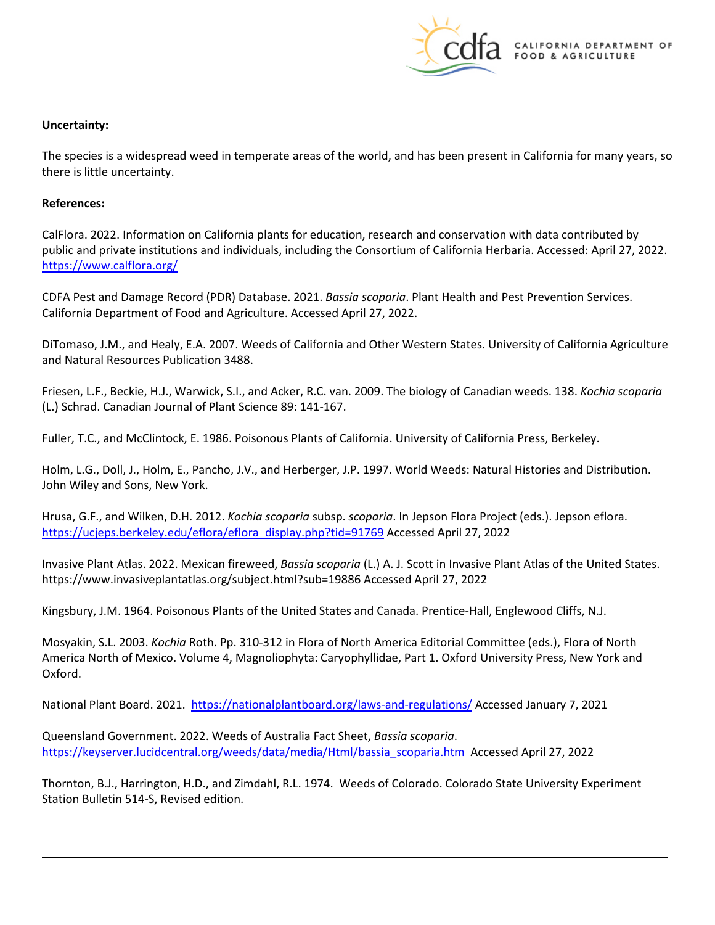

## **Uncertainty:**

The species is a widespread weed in temperate areas of the world, and has been present in California for many years, so there is little uncertainty.

## **References:**

CalFlora. 2022. Information on California plants for education, research and conservation with data contributed by public and private institutions and individuals, including the Consortium of California Herbaria. Accessed: April 27, 2022. <https://www.calflora.org/>

 California Department of Food and Agriculture. Accessed April 27, 2022. CDFA Pest and Damage Record (PDR) Database. 2021. *Bassia scoparia*. Plant Health and Pest Prevention Services.

 DiTomaso, J.M., and Healy, E.A. 2007. Weeds of California and Other Western States. University of California Agriculture and Natural Resources Publication 3488.

 Friesen, L.F., Beckie, H.J., Warwick, S.I., and Acker, R.C. van. 2009. The biology of Canadian weeds. 138. *Kochia scoparia*  (L.) Schrad. Canadian Journal of Plant Science 89: 141-167.

Fuller, T.C., and McClintock, E. 1986. Poisonous Plants of California. University of California Press, Berkeley.

Holm, L.G., Doll, J., Holm, E., Pancho, J.V., and Herberger, J.P. 1997. World Weeds: Natural Histories and Distribution. John Wiley and Sons, New York.

 [https://ucjeps.berkeley.edu/eflora/eflora\\_display.php?tid=91769](https://ucjeps.berkeley.edu/eflora/eflora_display.php?tid=91769) Accessed April 27, 2022 Hrusa, G.F., and Wilken, D.H. 2012. *Kochia scoparia* subsp. *scoparia*. In Jepson Flora Project (eds.). Jepson eflora.

 Invasive Plant Atlas. 2022. Mexican fireweed, *Bassia scoparia* (L.) A. J. Scott in Invasive Plant Atlas of the United States. <https://www.invasiveplantatlas.org/subject.html?sub=19886> Accessed April 27, 2022

Kingsbury, J.M. 1964. Poisonous Plants of the United States and Canada. Prentice-Hall, Englewood Cliffs, N.J.

Mosyakin, S.L. 2003. *Kochia* Roth. Pp. 310-312 in Flora of North America Editorial Committee (eds.), Flora of North America North of Mexico. Volume 4, Magnoliophyta: Caryophyllidae, Part 1. Oxford University Press, New York and Oxford.

National Plant Board. 2021. <https://nationalplantboard.org/laws-and-regulations/>Accessed January 7, 2021

[https://keyserver.lucidcentral.org/weeds/data/media/Html/bassia\\_scoparia.htm](https://keyserver.lucidcentral.org/weeds/data/media/Html/bassia_scoparia.htm) Accessed April 27, 2022 Queensland Government. 2022. Weeds of Australia Fact Sheet, *Bassia scoparia*.

Thornton, B.J., Harrington, H.D., and Zimdahl, R.L. 1974. Weeds of Colorado. Colorado State University Experiment Station Bulletin 514-S, Revised edition.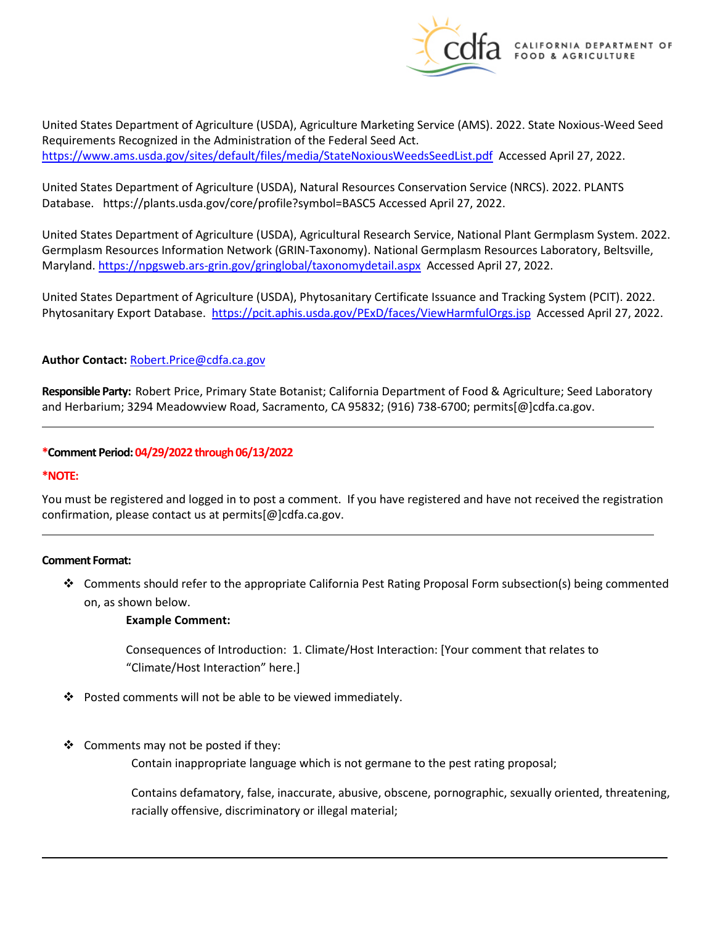

 United States Department of Agriculture (USDA), Agriculture Marketing Service (AMS). 2022. State Noxious-Weed Seed <https://www.ams.usda.gov/sites/default/files/media/StateNoxiousWeedsSeedList.pdf>Accessed April 27, 2022. Requirements Recognized in the Administration of the Federal Seed Act.

 Database. <https://plants.usda.gov/core/profile?symbol=BASC5>Accessed April 27, 2022. United States Department of Agriculture (USDA), Natural Resources Conservation Service (NRCS). 2022. PLANTS

 United States Department of Agriculture (USDA), Agricultural Research Service, National Plant Germplasm System. 2022. Maryland.<https://npgsweb.ars-grin.gov/gringlobal/taxonomydetail.aspx>Accessed April 27, 2022. Germplasm Resources Information Network (GRIN-Taxonomy). National Germplasm Resources Laboratory, Beltsville,

 United States Department of Agriculture (USDA), Phytosanitary Certificate Issuance and Tracking System (PCIT). 2022. Phytosanitary Export Database. <https://pcit.aphis.usda.gov/PExD/faces/ViewHarmfulOrgs.jsp>Accessed April 27, 2022.

## **Author Contact:** [Robert.Price@cdfa.ca.gov](mailto:Robert.Price@cdfa.ca.gov)

 **Responsible Party:** Robert Price, Primary State Botanist; California Department of Food & Agriculture; Seed Laboratory and Herbarium; 3294 Meadowview Road, Sacramento, CA 95832; (916) 738-6700; [permits\[@\]cdfa.ca.gov.](https://permits[@]cdfa.ca.gov)

#### **\*Comment Period: 04/29/2022 through 06/13/2022**

#### **\*NOTE:**

You must be registered and logged in to post a comment. If you have registered and have not received the registration confirmation, please contact us at [permits\[@\]cdfa.ca.gov.](https://permits[@]cdfa.ca.gov)

#### **Comment Format:**

 Comments should refer to the appropriate California Pest Rating Proposal Form subsection(s) being commented on, as shown below.

#### **Example Comment:**

 Consequences of Introduction: 1. Climate/Host Interaction: [Your comment that relates to "Climate/Host Interaction" here.]

- ❖ Posted comments will not be able to be viewed immediately.
- $\clubsuit$  Comments may not be posted if they:

Contain inappropriate language which is not germane to the pest rating proposal;

Contains defamatory, false, inaccurate, abusive, obscene, pornographic, sexually oriented, threatening, racially offensive, discriminatory or illegal material;